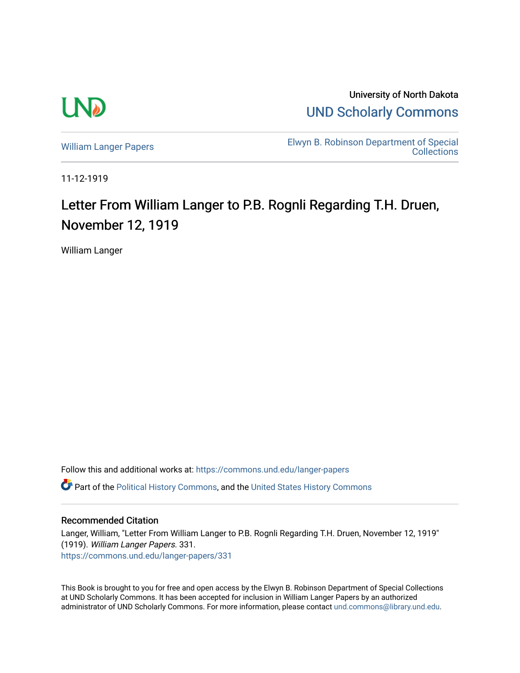

University of North Dakota [UND Scholarly Commons](https://commons.und.edu/) 

[William Langer Papers](https://commons.und.edu/langer-papers) **Elwyn B. Robinson Department of Special** [Collections](https://commons.und.edu/archives) 

11-12-1919

## Letter From William Langer to P.B. Rognli Regarding T.H. Druen, November 12, 1919

William Langer

Follow this and additional works at: [https://commons.und.edu/langer-papers](https://commons.und.edu/langer-papers?utm_source=commons.und.edu%2Flanger-papers%2F331&utm_medium=PDF&utm_campaign=PDFCoverPages)  **C** Part of the [Political History Commons,](http://network.bepress.com/hgg/discipline/505?utm_source=commons.und.edu%2Flanger-papers%2F331&utm_medium=PDF&utm_campaign=PDFCoverPages) and the [United States History Commons](http://network.bepress.com/hgg/discipline/495?utm_source=commons.und.edu%2Flanger-papers%2F331&utm_medium=PDF&utm_campaign=PDFCoverPages)

## Recommended Citation

Langer, William, "Letter From William Langer to P.B. Rognli Regarding T.H. Druen, November 12, 1919" (1919). William Langer Papers. 331. [https://commons.und.edu/langer-papers/331](https://commons.und.edu/langer-papers/331?utm_source=commons.und.edu%2Flanger-papers%2F331&utm_medium=PDF&utm_campaign=PDFCoverPages) 

This Book is brought to you for free and open access by the Elwyn B. Robinson Department of Special Collections at UND Scholarly Commons. It has been accepted for inclusion in William Langer Papers by an authorized administrator of UND Scholarly Commons. For more information, please contact [und.commons@library.und.edu.](mailto:und.commons@library.und.edu)